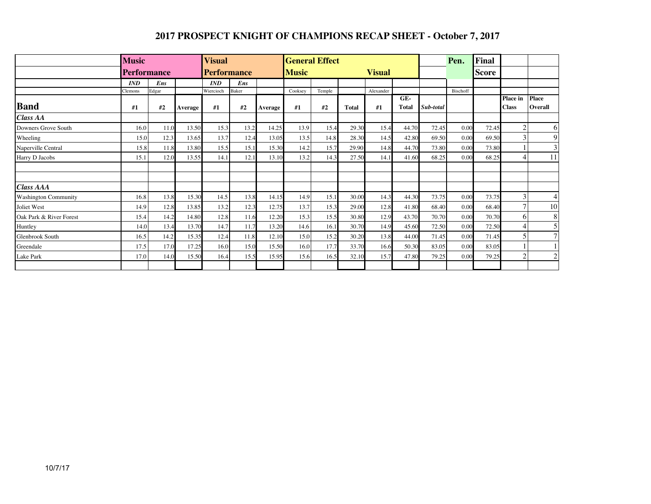## **2017 PROSPECT KNIGHT OF CHAMPIONS RECAP SHEET - October 7, 2017**

|                         | <b>Music</b>       |       |         | <b>Visual</b>      |       |         | <b>General Effect</b>         |        |       |           |                     |           | Pen.     | Final        |                          |                                |
|-------------------------|--------------------|-------|---------|--------------------|-------|---------|-------------------------------|--------|-------|-----------|---------------------|-----------|----------|--------------|--------------------------|--------------------------------|
|                         | <b>Performance</b> |       |         | <b>Performance</b> |       |         | <b>Music</b><br><b>Visual</b> |        |       |           |                     |           |          | <b>Score</b> |                          |                                |
|                         | <b>IND</b>         | Ens   |         | <b>IND</b>         | Ens   |         |                               |        |       |           |                     |           |          |              |                          |                                |
|                         | <b>Clemons</b>     | Edgar |         | Wiercioch          | Baker |         | Cooksey                       | Temple |       | Alexander |                     |           | Bischoff |              |                          |                                |
| <b>Band</b>             | #1                 | #2    | Average | #1                 | #2    | Average | #1                            | #2     | Total | #1        | GE-<br><b>Total</b> | Sub-total |          |              | Place in<br><b>Class</b> | <b>Place</b><br><b>Overall</b> |
| <b>Class AA</b>         |                    |       |         |                    |       |         |                               |        |       |           |                     |           |          |              |                          |                                |
| Downers Grove South     | 16.0               | 11.0  | 13.50   | 15.3               | 13.2  | 14.25   | 13.9                          | 15.4   | 29.30 | 15.4      | 44.70               | 72.45     | 0.00     | 72.45        | $\overline{c}$           | 6                              |
| Wheeling                | 15.0               | 12.3  | 13.65   | 13.7               | 12.4  | 13.05   | 13.5                          | 14.8   | 28.30 | 14.5      | 42.80               | 69.50     | 0.00     | 69.50        |                          | 9                              |
| Naperville Central      | 15.8               | 11.8  | 13.80   | 15.5               | 15.1  | 15.30   | 14.2                          | 15.7   | 29.90 | 14.8      | 44.70               | 73.80     | 0.00     | 73.80        |                          | $\mathfrak{Z}$                 |
| Harry D Jacobs          | 15.1               | 12.0  | 13.55   | 14.1               | 12.1  | 13.10   | 13.2                          | 14.3   | 27.50 | 14.1      | 41.60               | 68.25     | 0.00     | 68.25        | $\overline{4}$           | 11                             |
|                         |                    |       |         |                    |       |         |                               |        |       |           |                     |           |          |              |                          |                                |
| <b>Class AAA</b>        |                    |       |         |                    |       |         |                               |        |       |           |                     |           |          |              |                          |                                |
| Washington Community    | 16.8               | 13.8  | 15.30   | 14.5               | 13.8  | 14.15   | 14.9                          | 15.1   | 30.00 | 14.3      | 44.30               | 73.75     | 0.00     | 73.75        | $\mathbf{3}$             | 4                              |
| Joliet West             | 14.9               | 12.8  | 13.85   | 13.2               | 12.3  | 12.75   | 13.7                          | 15.3   | 29.00 | 12.8      | 41.80               | 68.40     | 0.00     | 68.40        |                          | $10\,$                         |
| Oak Park & River Forest | 15.4               | 14.2  | 14.80   | 12.8               | 11.6  | 12.20   | 15.3                          | 15.5   | 30.80 | 12.9      | 43.70               | 70.70     | 0.00     | 70.70        | 6                        | 8                              |
| Huntley                 | 14.0               | 13.4  | 13.70   | 14.7               | 11.7  | 13.20   | 14.6                          | 16.1   | 30.70 | 14.9      | 45.60               | 72.50     | 0.00     | 72.50        | 4                        | 5                              |
| Glenbrook South         | 16.5               | 14.2  | 15.35   | 12.4               | 11.8  | 12.10   | 15.0                          | 15.2   | 30.20 | 13.8      | 44.00               | 71.45     | 0.00     | 71.45        |                          | $\overline{7}$                 |
| Greendale               | 17.5               | 17.0  | 17.25   | 16.0               | 15.0  | 15.50   | 16.0                          | 17.7   | 33.70 | 16.6      | 50.30               | 83.05     | 0.00     | 83.05        |                          |                                |
| Lake Park               | 17.0               | 14.0  | 15.50   | 16.4               | 15.5  | 15.95   | 15.6                          | 16.5   | 32.10 | 15.7      | 47.80               | 79.25     | 0.00     | 79.25        | C                        | $\sqrt{2}$                     |